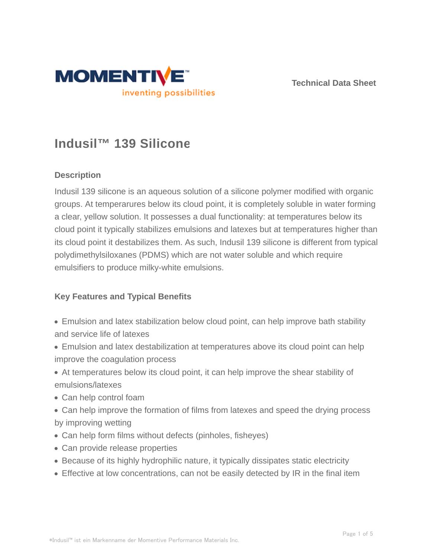



# **Indusil™ 139 Silicone**

## **Description**

Indusil 139 silicone is an aqueous solution of a silicone polymer modified with organic groups. At temperarures below its cloud point, it is completely soluble in water forming a clear, yellow solution. It possesses a dual functionality: at temperatures below its cloud point it typically stabilizes emulsions and latexes but at temperatures higher than its cloud point it destabilizes them. As such, Indusil 139 silicone is different from typical polydimethylsiloxanes (PDMS) which are not water soluble and which require emulsifiers to produce milky-white emulsions.

### **Key Features and Typical Benefits**

- Emulsion and latex stabilization below cloud point, can help improve bath stability and service life of latexes
- Emulsion and latex destabilization at temperatures above its cloud point can help improve the coagulation process
- At temperatures below its cloud point, it can help improve the shear stability of emulsions/latexes
- Can help control foam
- Can help improve the formation of films from latexes and speed the drying process by improving wetting
- Can help form films without defects (pinholes, fisheyes)
- Can provide release properties
- Because of its highly hydrophilic nature, it typically dissipates static electricity
- Effective at low concentrations, can not be easily detected by IR in the final item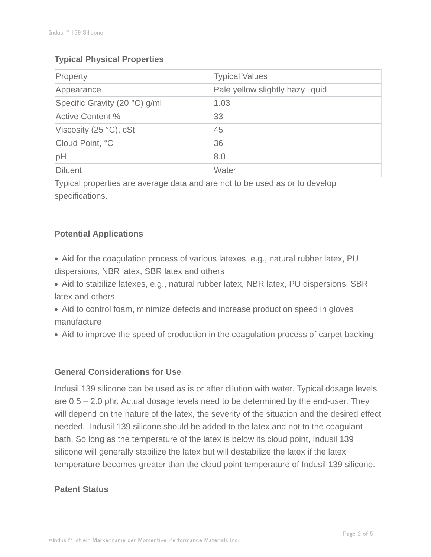## **Typical Physical Properties**

| Property                        | <b>Typical Values</b>            |
|---------------------------------|----------------------------------|
| Appearance                      | Pale yellow slightly hazy liquid |
| Specific Gravity (20 °C) g/ml   | 1.03                             |
| Active Content %                | 33                               |
| Viscosity (25 $\degree$ C), cSt | 45                               |
| Cloud Point, °C                 | 36                               |
| pH                              | 8.0                              |
| Diluent                         | Water                            |

Typical properties are average data and are not to be used as or to develop specifications.

## **Potential Applications**

- Aid for the coagulation process of various latexes, e.g., natural rubber latex, PU dispersions, NBR latex, SBR latex and others
- Aid to stabilize latexes, e.g., natural rubber latex, NBR latex, PU dispersions, SBR latex and others
- Aid to control foam, minimize defects and increase production speed in gloves manufacture
- Aid to improve the speed of production in the coagulation process of carpet backing

## **General Considerations for Use**

Indusil 139 silicone can be used as is or after dilution with water. Typical dosage levels are 0.5 – 2.0 phr. Actual dosage levels need to be determined by the end-user. They will depend on the nature of the latex, the severity of the situation and the desired effect needed. Indusil 139 silicone should be added to the latex and not to the coagulant bath. So long as the temperature of the latex is below its cloud point, Indusil 139 silicone will generally stabilize the latex but will destabilize the latex if the latex temperature becomes greater than the cloud point temperature of Indusil 139 silicone.

## **Patent Status**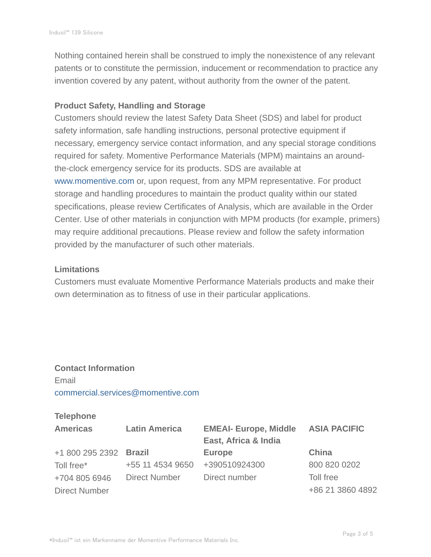Nothing contained herein shall be construed to imply the nonexistence of any relevant patents or to constitute the permission, inducement or recommendation to practice any invention covered by any patent, without authority from the owner of the patent.

### **Product Safety, Handling and Storage**

Customers should review the latest Safety Data Sheet (SDS) and label for product safety information, safe handling instructions, personal protective equipment if necessary, emergency service contact information, and any special storage conditions required for safety. Momentive Performance Materials (MPM) maintains an aroundthe-clock emergency service for its products. SDS are available at www.momentive.com or, upon request, from any MPM representative. For product storage and handling procedures to maintain the product quality within our stated specifications, please review Certificates of Analysis, which are available in the Order Center. Use of other materials in conjunction with MPM products (for example, primers) may require additional precautions. Please review and follow the safety information provided by the manufacturer of such other materials.

#### **Limitations**

Customers must evaluate Momentive Performance Materials products and make their own determination as to fitness of use in their particular applications.

## **Contact Information** Email commercial.services@momentive.com

#### **Telephone**

| <b>Americas</b>        | <b>Latin America</b> | <b>EMEAI- Europe, Middle</b><br>East, Africa & India | <b>ASIA PACIFIC</b> |
|------------------------|----------------------|------------------------------------------------------|---------------------|
| +1 800 295 2392 Brazil |                      | <b>Europe</b>                                        | China               |
| Toll free*             | +55 11 4534 9650     | +390510924300                                        | 800 820 0202        |
| +704 805 6946          | <b>Direct Number</b> | Direct number                                        | Toll free           |
| <b>Direct Number</b>   |                      |                                                      | +86 21 3860 4892    |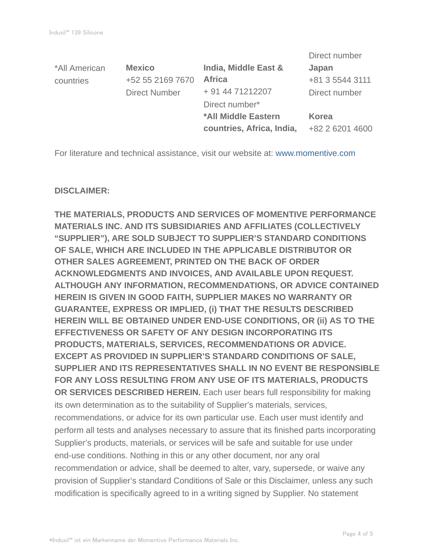|                      |                           | Direct number   |
|----------------------|---------------------------|-----------------|
| <b>Mexico</b>        | India, Middle East &      | Japan           |
| +52 55 2169 7670     | <b>Africa</b>             | +81 3 5544 3111 |
| <b>Direct Number</b> | + 91 44 71212207          | Direct number   |
|                      | Direct number*            |                 |
|                      | *All Middle Eastern       | Korea           |
|                      | countries, Africa, India, | +82 2 6201 4600 |
|                      |                           |                 |

For literature and technical assistance, visit our website at: www.momentive.com

### **DISCLAIMER:**

**THE MATERIALS, PRODUCTS AND SERVICES OF MOMENTIVE PERFORMANCE MATERIALS INC. AND ITS SUBSIDIARIES AND AFFILIATES (COLLECTIVELY "SUPPLIER"), ARE SOLD SUBJECT TO SUPPLIER'S STANDARD CONDITIONS OF SALE, WHICH ARE INCLUDED IN THE APPLICABLE DISTRIBUTOR OR OTHER SALES AGREEMENT, PRINTED ON THE BACK OF ORDER ACKNOWLEDGMENTS AND INVOICES, AND AVAILABLE UPON REQUEST. ALTHOUGH ANY INFORMATION, RECOMMENDATIONS, OR ADVICE CONTAINED HEREIN IS GIVEN IN GOOD FAITH, SUPPLIER MAKES NO WARRANTY OR GUARANTEE, EXPRESS OR IMPLIED, (i) THAT THE RESULTS DESCRIBED HEREIN WILL BE OBTAINED UNDER END-USE CONDITIONS, OR (ii) AS TO THE EFFECTIVENESS OR SAFETY OF ANY DESIGN INCORPORATING ITS PRODUCTS, MATERIALS, SERVICES, RECOMMENDATIONS OR ADVICE. EXCEPT AS PROVIDED IN SUPPLIER'S STANDARD CONDITIONS OF SALE, SUPPLIER AND ITS REPRESENTATIVES SHALL IN NO EVENT BE RESPONSIBLE FOR ANY LOSS RESULTING FROM ANY USE OF ITS MATERIALS, PRODUCTS OR SERVICES DESCRIBED HEREIN.** Each user bears full responsibility for making its own determination as to the suitability of Supplier's materials, services, recommendations, or advice for its own particular use. Each user must identify and perform all tests and analyses necessary to assure that its finished parts incorporating Supplier's products, materials, or services will be safe and suitable for use under end-use conditions. Nothing in this or any other document, nor any oral recommendation or advice, shall be deemed to alter, vary, supersede, or waive any provision of Supplier's standard Conditions of Sale or this Disclaimer, unless any such modification is specifically agreed to in a writing signed by Supplier. No statement